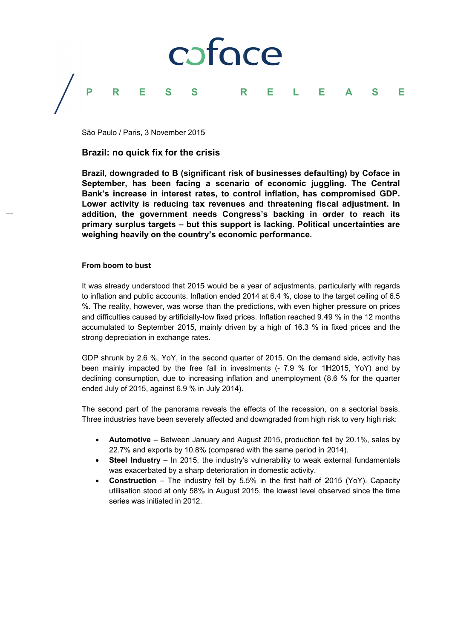## coface Ē P R S.  $\mathbf R$ Е S. E Е L Δ

São Paulo / Paris, 3 November 2015

# Brazil: no quick fix for the crisis

Brazil, downgraded to B (significant risk of businesses defaulting) by Coface in September, has been facing a scenario of economic juggling. The Central Bank's increase in interest rates, to control inflation, has compromised GDP. Lower activity is reducing tax revenues and threatening fiscal adiustment. In addition, the government needs Congress's backing in order to reach its primary surplus targets - but this support is lacking. Political uncertainties are weighing heavily on the country's economic performance.

# From boom to bust

It was already understood that 2015 would be a year of adjustments, particularly with regards to inflation and public accounts. Inflation ended 2014 at 6.4 %, close to the target ceiling of 6.5 %. The reality, however, was worse than the predictions, with even higher pressure on prices and difficulties caused by artificially-low fixed prices. Inflation reached 9.49 % in the 12 months accumulated to September 2015, mainly driven by a high of 16.3 % in fixed prices and the strong depreciation in exchange rates.

GDP shrunk by 2.6 %, YoY, in the second quarter of 2015. On the demand side, activity has been mainly impacted by the free fall in investments (- 7.9 % for 1H2015, YoY) and by declining consumption, due to increasing inflation and unemployment (8.6 % for the quarter ended July of 2015, against 6.9 % in July 2014).

The second part of the panorama reveals the effects of the recession, on a sectorial basis. Three industries have been severely affected and downgraded from high risk to very high risk:

- **Automotive** Between January and August 2015, production fell by 20.1%, sales by 22.7% and exports by 10.8% (compared with the same period in 2014).
- **Steel Industry**  $-$  In 2015, the industry's vulnerability to weak external fundamentals was exacerbated by a sharp deterioration in domestic activity.
- **Construction** The industry fell by 5.5% in the first half of 2015 (YoY). Capacity utilisation stood at only 58% in August 2015, the lowest level observed since the time series was initiated in 2012.